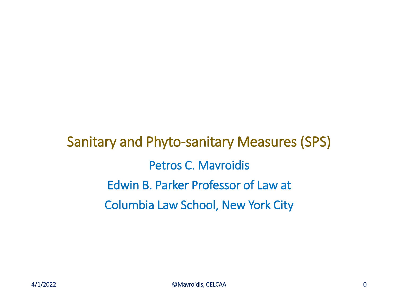Sanitary and Phyto-sanitary Measures (SPS) Petros C. Mavroidis Edwin B. Parker Professor of Law at Columbia Law School, New York City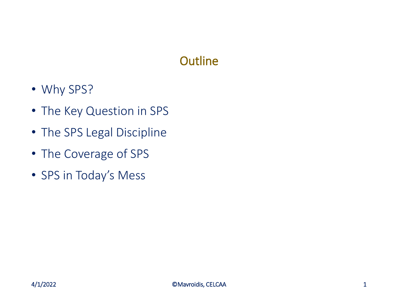### **Outline**

- Why SPS?
- The Key Question in SPS
- The SPS Legal Discipline
- The Coverage of SPS
- SPS in Today's Mess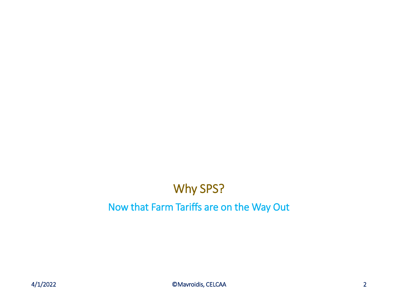# Why SPS?

#### Now that Farm Tariffs are on the Way Out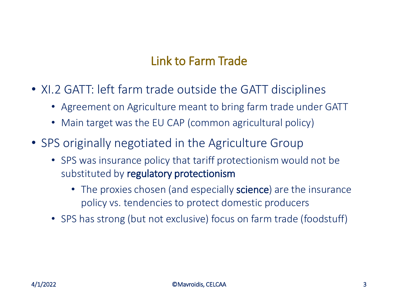### Link to Farm Trade

- XI.2 GATT: left farm trade outside the GATT disciplines
	- Agreement on Agriculture meant to bring farm trade under GATT
	- Main target was the EU CAP (common agricultural policy)
- SPS originally negotiated in the Agriculture Group
	- SPS was insurance policy that tariff protectionism would not be substituted by regulatory protectionism
		- The proxies chosen (and especially **science**) are the insurance policy vs. tendencies to protect domestic producers
	- SPS has strong (but not exclusive) focus on farm trade (foodstuff)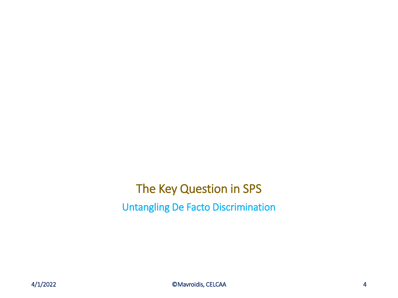The Key Question in SPS Untangling De Facto Discrimination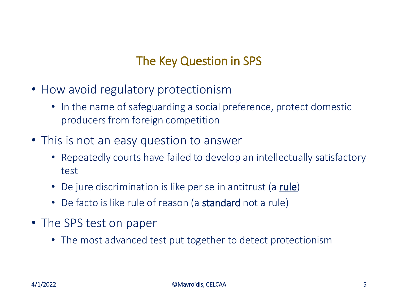### The Key Question in SPS

- How avoid regulatory protectionism
	- In the name of safeguarding a social preference, protect domestic producers from foreign competition
- This is not an easy question to answer
	- Repeatedly courts have failed to develop an intellectually satisfactory test
	- De jure discrimination is like per se in antitrust (a rule)
	- De facto is like rule of reason (a **standard** not a rule)
- The SPS test on paper
	- The most advanced test put together to detect protectionism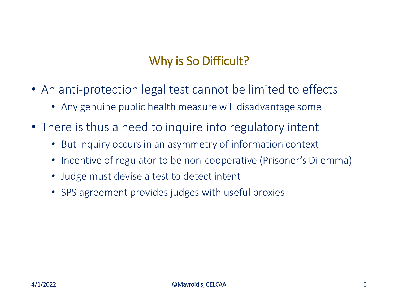### Why is So Difficult?

- An anti-protection legal test cannot be limited to effects
	- Any genuine public health measure will disadvantage some
- There is thus a need to inquire into regulatory intent
	- But inquiry occurs in an asymmetry of information context
	- Incentive of regulator to be non-cooperative (Prisoner's Dilemma)
	- Judge must devise a test to detect intent
	- SPS agreement provides judges with useful proxies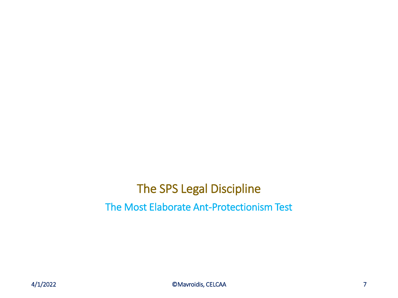### The SPS Legal Discipline The Most Elaborate Ant-Protectionism Test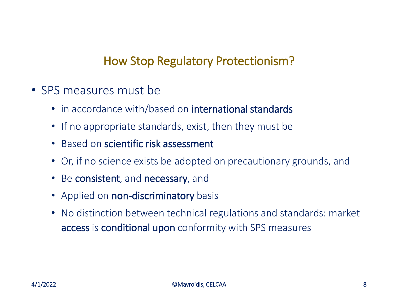### How Stop Regulatory Protectionism?

- SPS measures must be
	- in accordance with/based on international standards
	- If no appropriate standards, exist, then they must be
	- Based on scientific risk assessment
	- Or, if no science exists be adopted on precautionary grounds, and
	- Be consistent, and necessary, and
	- Applied on non-discriminatory basis
	- No distinction between technical regulations and standards: market access is conditional upon conformity with SPS measures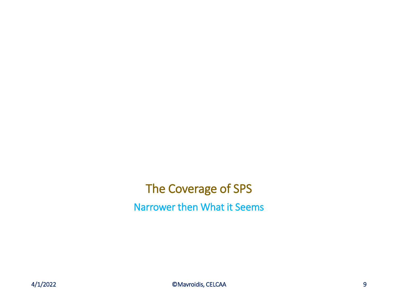## The Coverage of SPS Narrower then What it Seems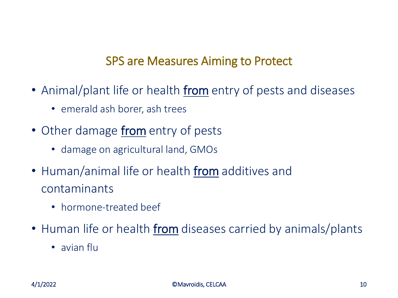#### SPS are Measures Aiming to Protect

- Animal/plant life or health from entry of pests and diseases
	- emerald ash borer, ash trees
- Other damage from entry of pests
	- damage on agricultural land, GMOs
- Human/animal life or health from additives and contaminants
	- hormone-treated beef
- Human life or health from diseases carried by animals/plants
	- avian flu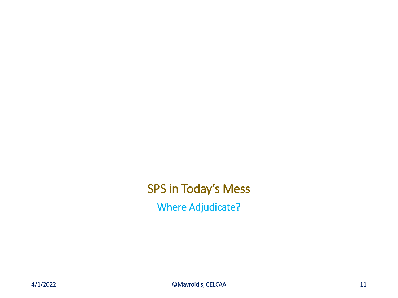SPS in Today's Mess Where Adjudicate?